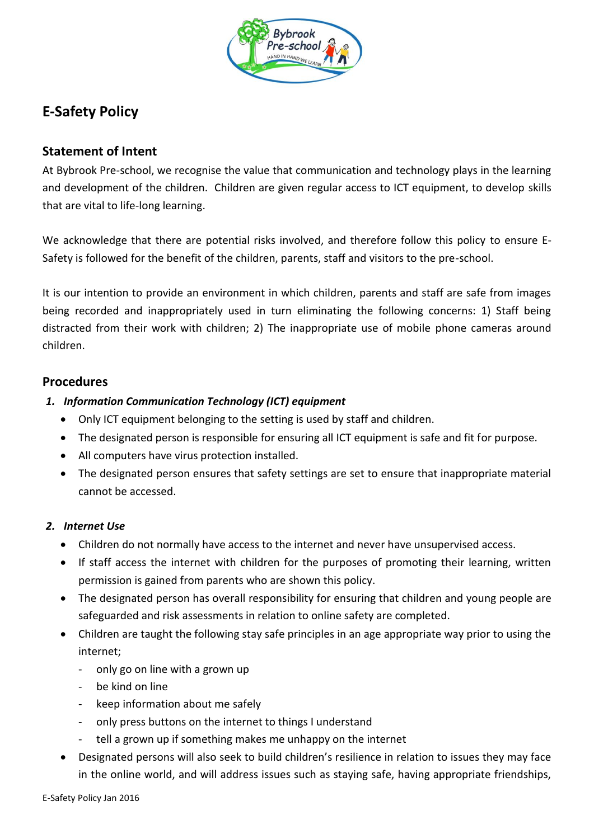

# **E-Safety Policy**

# **Statement of Intent**

At Bybrook Pre-school, we recognise the value that communication and technology plays in the learning and development of the children. Children are given regular access to ICT equipment, to develop skills that are vital to life-long learning.

We acknowledge that there are potential risks involved, and therefore follow this policy to ensure E-Safety is followed for the benefit of the children, parents, staff and visitors to the pre-school.

It is our intention to provide an environment in which children, parents and staff are safe from images being recorded and inappropriately used in turn eliminating the following concerns: 1) Staff being distracted from their work with children; 2) The inappropriate use of mobile phone cameras around children.

# **Procedures**

- *1. Information Communication Technology (ICT) equipment*
	- Only ICT equipment belonging to the setting is used by staff and children.
	- The designated person is responsible for ensuring all ICT equipment is safe and fit for purpose.
	- All computers have virus protection installed.
	- The designated person ensures that safety settings are set to ensure that inappropriate material cannot be accessed.

### *2. Internet Use*

- Children do not normally have access to the internet and never have unsupervised access.
- If staff access the internet with children for the purposes of promoting their learning, written permission is gained from parents who are shown this policy.
- The designated person has overall responsibility for ensuring that children and young people are safeguarded and risk assessments in relation to online safety are completed.
- Children are taught the following stay safe principles in an age appropriate way prior to using the internet;
	- only go on line with a grown up
	- be kind on line
	- keep information about me safely
	- only press buttons on the internet to things I understand
	- tell a grown up if something makes me unhappy on the internet
- Designated persons will also seek to build children's resilience in relation to issues they may face in the online world, and will address issues such as staying safe, having appropriate friendships,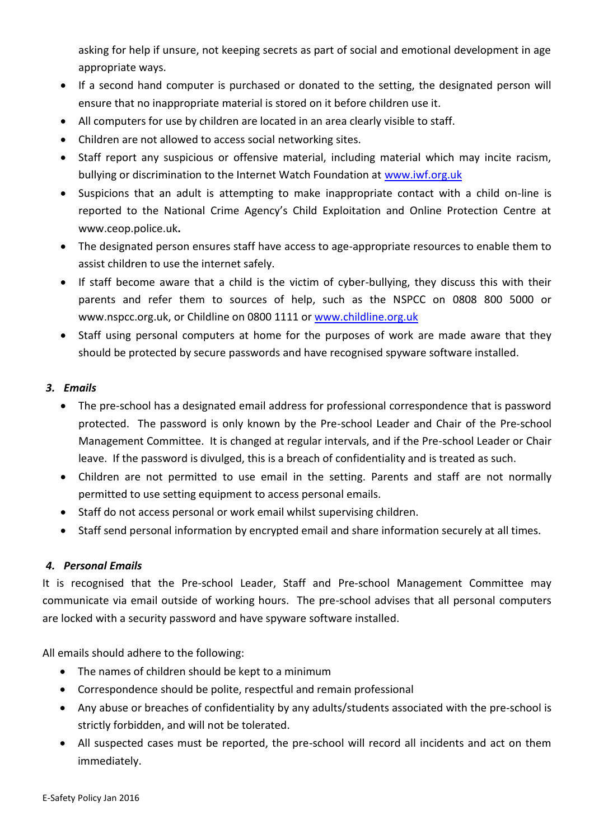asking for help if unsure, not keeping secrets as part of social and emotional development in age appropriate ways.

- If a second hand computer is purchased or donated to the setting, the designated person will ensure that no inappropriate material is stored on it before children use it.
- All computers for use by children are located in an area clearly visible to staff.
- Children are not allowed to access social networking sites.
- Staff report any suspicious or offensive material, including material which may incite racism, bullying or discrimination to the Internet Watch Foundation at [www.iwf.org.uk](http://www.iwf.org.uk/)
- Suspicions that an adult is attempting to make inappropriate contact with a child on-line is reported to the National Crime Agency's Child Exploitation and Online Protection Centre at [www.ceop.police.uk](http://www.ceop.police.uk/)**.**
- The designated person ensures staff have access to age-appropriate resources to enable them to assist children to use the internet safely.
- If staff become aware that a child is the victim of cyber-bullying, they discuss this with their parents and refer them to sources of help, such as the NSPCC on 0808 800 5000 or www.nspcc.org.uk, or Childline on 0800 1111 or [www.childline.org.uk](http://www.childline.org.uk/)
- Staff using personal computers at home for the purposes of work are made aware that they should be protected by secure passwords and have recognised spyware software installed.

#### *3. Emails*

- The pre-school has a designated email address for professional correspondence that is password protected. The password is only known by the Pre-school Leader and Chair of the Pre-school Management Committee. It is changed at regular intervals, and if the Pre-school Leader or Chair leave. If the password is divulged, this is a breach of confidentiality and is treated as such.
- Children are not permitted to use email in the setting. Parents and staff are not normally permitted to use setting equipment to access personal emails.
- Staff do not access personal or work email whilst supervising children.
- Staff send personal information by encrypted email and share information securely at all times.

### *4. Personal Emails*

It is recognised that the Pre-school Leader, Staff and Pre-school Management Committee may communicate via email outside of working hours. The pre-school advises that all personal computers are locked with a security password and have spyware software installed.

All emails should adhere to the following:

- The names of children should be kept to a minimum
- Correspondence should be polite, respectful and remain professional
- Any abuse or breaches of confidentiality by any adults/students associated with the pre-school is strictly forbidden, and will not be tolerated.
- All suspected cases must be reported, the pre-school will record all incidents and act on them immediately.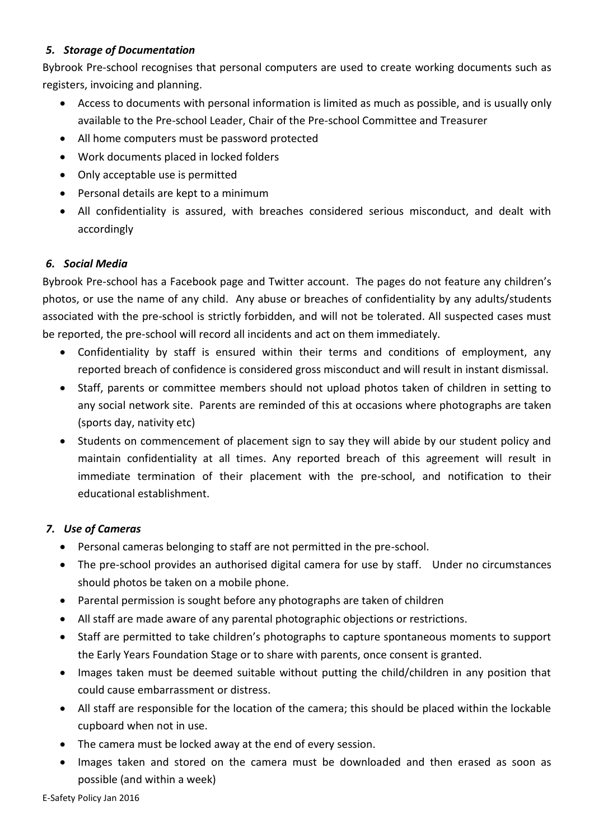# *5. Storage of Documentation*

Bybrook Pre-school recognises that personal computers are used to create working documents such as registers, invoicing and planning.

- Access to documents with personal information is limited as much as possible, and is usually only available to the Pre-school Leader, Chair of the Pre-school Committee and Treasurer
- All home computers must be password protected
- Work documents placed in locked folders
- Only acceptable use is permitted
- Personal details are kept to a minimum
- All confidentiality is assured, with breaches considered serious misconduct, and dealt with accordingly

# *6. Social Media*

Bybrook Pre-school has a Facebook page and Twitter account. The pages do not feature any children's photos, or use the name of any child. Any abuse or breaches of confidentiality by any adults/students associated with the pre-school is strictly forbidden, and will not be tolerated. All suspected cases must be reported, the pre-school will record all incidents and act on them immediately.

- Confidentiality by staff is ensured within their terms and conditions of employment, any reported breach of confidence is considered gross misconduct and will result in instant dismissal.
- Staff, parents or committee members should not upload photos taken of children in setting to any social network site. Parents are reminded of this at occasions where photographs are taken (sports day, nativity etc)
- Students on commencement of placement sign to say they will abide by our student policy and maintain confidentiality at all times. Any reported breach of this agreement will result in immediate termination of their placement with the pre-school, and notification to their educational establishment.

# *7. Use of Cameras*

- Personal cameras belonging to staff are not permitted in the pre-school.
- The pre-school provides an authorised digital camera for use by staff. Under no circumstances should photos be taken on a mobile phone.
- Parental permission is sought before any photographs are taken of children
- All staff are made aware of any parental photographic objections or restrictions.
- Staff are permitted to take children's photographs to capture spontaneous moments to support the Early Years Foundation Stage or to share with parents, once consent is granted.
- Images taken must be deemed suitable without putting the child/children in any position that could cause embarrassment or distress.
- All staff are responsible for the location of the camera; this should be placed within the lockable cupboard when not in use.
- The camera must be locked away at the end of every session.
- Images taken and stored on the camera must be downloaded and then erased as soon as possible (and within a week)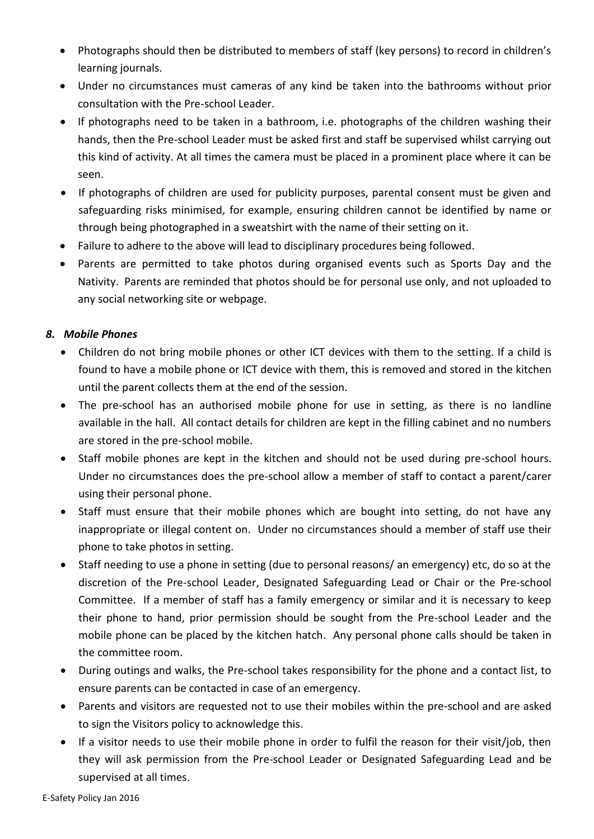- Photographs should then be distributed to members of staff (key persons) to record in children's learning journals.
- Under no circumstances must cameras of any kind be taken into the bathrooms without prior consultation with the Pre-school Leader.
- If photographs need to be taken in a bathroom, i.e. photographs of the children washing their hands, then the Pre-school Leader must be asked first and staff be supervised whilst carrying out this kind of activity. At all times the camera must be placed in a prominent place where it can be seen.
- If photographs of children are used for publicity purposes, parental consent must be given and safeguarding risks minimised, for example, ensuring children cannot be identified by name or through being photographed in a sweatshirt with the name of their setting on it.
- Failure to adhere to the above will lead to disciplinary procedures being followed.
- Parents are permitted to take photos during organised events such as Sports Day and the Nativity. Parents are reminded that photos should be for personal use only, and not uploaded to any social networking site or webpage.

### *8. Mobile Phones*

- Children do not bring mobile phones or other ICT devices with them to the setting. If a child is found to have a mobile phone or ICT device with them, this is removed and stored in the kitchen until the parent collects them at the end of the session.
- The pre-school has an authorised mobile phone for use in setting, as there is no landline available in the hall. All contact details for children are kept in the filling cabinet and no numbers are stored in the pre-school mobile.
- Staff mobile phones are kept in the kitchen and should not be used during pre-school hours. Under no circumstances does the pre-school allow a member of staff to contact a parent/carer using their personal phone.
- Staff must ensure that their mobile phones which are bought into setting, do not have any inappropriate or illegal content on. Under no circumstances should a member of staff use their phone to take photos in setting.
- Staff needing to use a phone in setting (due to personal reasons/ an emergency) etc, do so at the discretion of the Pre-school Leader, Designated Safeguarding Lead or Chair or the Pre-school Committee. If a member of staff has a family emergency or similar and it is necessary to keep their phone to hand, prior permission should be sought from the Pre-school Leader and the mobile phone can be placed by the kitchen hatch. Any personal phone calls should be taken in the committee room.
- During outings and walks, the Pre-school takes responsibility for the phone and a contact list, to ensure parents can be contacted in case of an emergency.
- Parents and visitors are requested not to use their mobiles within the pre-school and are asked to sign the Visitors policy to acknowledge this.
- If a visitor needs to use their mobile phone in order to fulfil the reason for their visit/job, then they will ask permission from the Pre-school Leader or Designated Safeguarding Lead and be supervised at all times.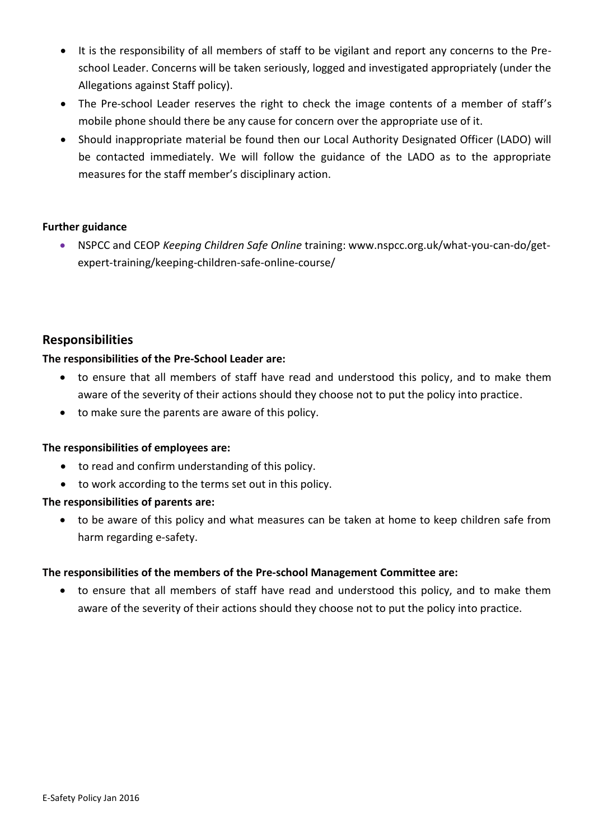- It is the responsibility of all members of staff to be vigilant and report any concerns to the Preschool Leader. Concerns will be taken seriously, logged and investigated appropriately (under the Allegations against Staff policy).
- The Pre-school Leader reserves the right to check the image contents of a member of staff's mobile phone should there be any cause for concern over the appropriate use of it.
- Should inappropriate material be found then our Local Authority Designated Officer (LADO) will be contacted immediately. We will follow the guidance of the LADO as to the appropriate measures for the staff member's disciplinary action.

#### **Further guidance**

 NSPCC and CEOP *Keeping Children Safe Online* training: www.nspcc.org.uk/what-you-can-do/getexpert-training/keeping-children-safe-online-course/

# **Responsibilities**

#### **The responsibilities of the Pre-School Leader are:**

- to ensure that all members of staff have read and understood this policy, and to make them aware of the severity of their actions should they choose not to put the policy into practice.
- to make sure the parents are aware of this policy.

### **The responsibilities of employees are:**

- to read and confirm understanding of this policy.
- to work according to the terms set out in this policy.

### **The responsibilities of parents are:**

 to be aware of this policy and what measures can be taken at home to keep children safe from harm regarding e-safety.

### **The responsibilities of the members of the Pre-school Management Committee are:**

 to ensure that all members of staff have read and understood this policy, and to make them aware of the severity of their actions should they choose not to put the policy into practice.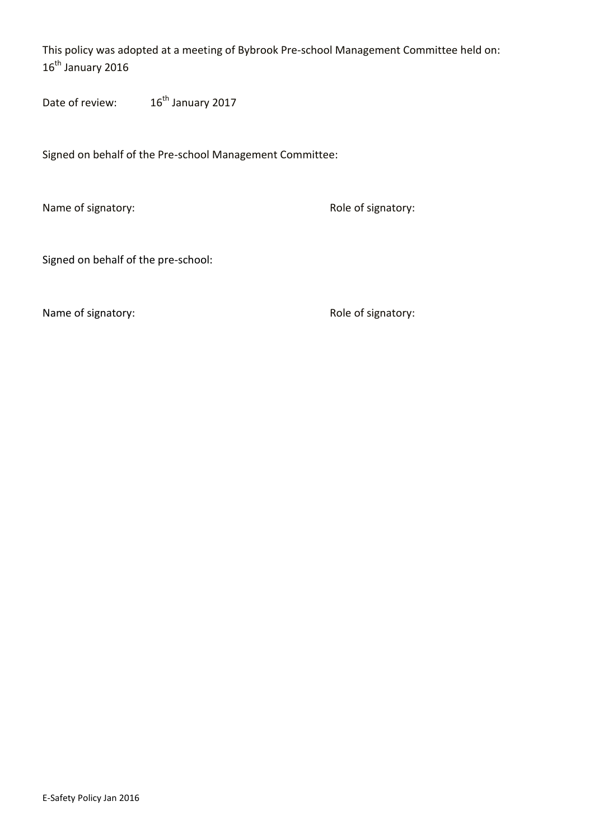This policy was adopted at a meeting of Bybrook Pre-school Management Committee held on: 16<sup>th</sup> January 2016

Date of review: 16<sup>th</sup> January 2017

Signed on behalf of the Pre-school Management Committee:

Name of signatory:  $\blacksquare$  Role of signatory:

Signed on behalf of the pre-school:

Name of signatory:  $\blacksquare$  Role of signatory: